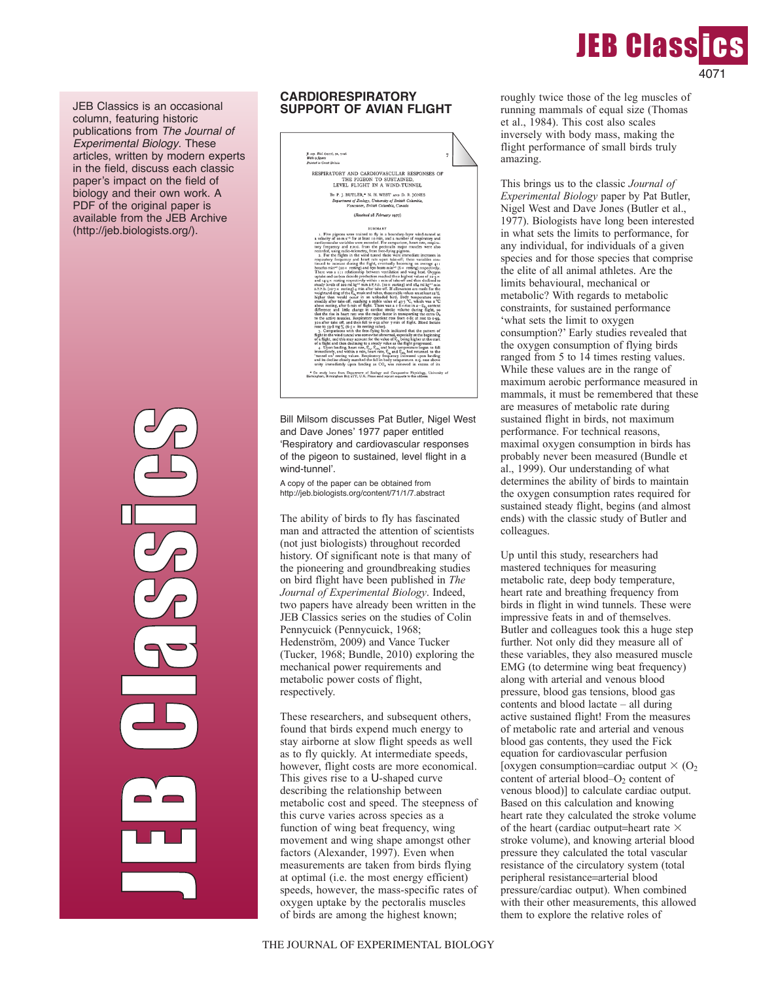

JEB Classics is an occasional column, featuring historic publications from *The Journal of Experimental Biology*. These articles, written by modern experts in the field, discuss each classic paper's impact on the field of biology and their own work. A PDF of the original paper is available from the JEB Archive (http://jeb.biologists.org/).

> JEB C la de la partida<br>La partida de la partida de la partida de la partida de la partida de la partida de la partida de la partida d GU  $\mathcal{C}_{\mathcal{P}}$  $\mathcal{C}_{\mathcal{P}}$ in 1999  $\bigoplus$  $\mathcal{C}_{\mathcal{P}}$

## **CARDIORESPIRATORY SUPPORT OF AVIAN FLIGHT**



Bill Milsom discusses Pat Butler, Nigel West and Dave Jones' 1977 paper entitled ʻRespiratory and cardiovascular responses of the pigeon to sustained, level flight in a wind-tunnel'.

A copy of the paper can be obtained from http://jeb.biologists.org/content/71/1/7.abstract

The ability of birds to fly has fascinated man and attracted the attention of scientists (not just biologists) throughout recorded history. Of significant note is that many of the pioneering and groundbreaking studies on bird flight have been published in *The Journal of Experimental Biology*. Indeed, two papers have already been written in the JEB Classics series on the studies of Colin Pennycuick (Pennycuick, 1968; Hedenström, 2009) and Vance Tucker (Tucker, 1968; Bundle, 2010) exploring the mechanical power requirements and metabolic power costs of flight, respectively.

These researchers, and subsequent others, found that birds expend much energy to stay airborne at slow flight speeds as well as to fly quickly. At intermediate speeds, however, flight costs are more economical. This gives rise to a U-shaped curve describing the relationship between metabolic cost and speed. The steepness of this curve varies across species as a function of wing beat frequency, wing movement and wing shape amongst other factors (Alexander, 1997). Even when measurements are taken from birds flying at optimal (i.e. the most energy efficient) speeds, however, the mass-specific rates of oxygen uptake by the pectoralis muscles of birds are among the highest known;

This brings us to the classic *Journal of Experimental Biology* paper by Pat Butler, Nigel West and Dave Jones (Butler et al., 1977). Biologists have long been interested in what sets the limits to performance, for any individual, for individuals of a given species and for those species that comprise the elite of all animal athletes. Are the limits behavioural, mechanical or metabolic? With regards to metabolic constraints, for sustained performance 'what sets the limit to oxygen consumption?' Early studies revealed that the oxygen consumption of flying birds ranged from 5 to 14 times resting values. While these values are in the range of maximum aerobic performance measured in mammals, it must be remembered that these are measures of metabolic rate during sustained flight in birds, not maximum performance. For technical reasons, maximal oxygen consumption in birds has probably never been measured (Bundle et al., 1999). Our understanding of what determines the ability of birds to maintain the oxygen consumption rates required for sustained steady flight, begins (and almost ends) with the classic study of Butler and colleagues.

Up until this study, researchers had mastered techniques for measuring metabolic rate, deep body temperature, heart rate and breathing frequency from birds in flight in wind tunnels. These were impressive feats in and of themselves. Butler and colleagues took this a huge step further. Not only did they measure all of these variables, they also measured muscle EMG (to determine wing beat frequency) along with arterial and venous blood pressure, blood gas tensions, blood gas contents and blood lactate – all during active sustained flight! From the measures of metabolic rate and arterial and venous blood gas contents, they used the Fick equation for cardiovascular perfusion [oxygen consumption=cardiac output  $\times$  (O<sub>2</sub>) content of arterial blood– $O<sub>2</sub>$  content of venous blood)] to calculate cardiac output. Based on this calculation and knowing heart rate they calculated the stroke volume of the heart (cardiac output=heart rate  $\times$ stroke volume), and knowing arterial blood pressure they calculated the total vascular resistance of the circulatory system (total peripheral resistance=arterial blood pressure/cardiac output). When combined with their other measurements, this allowed them to explore the relative roles of